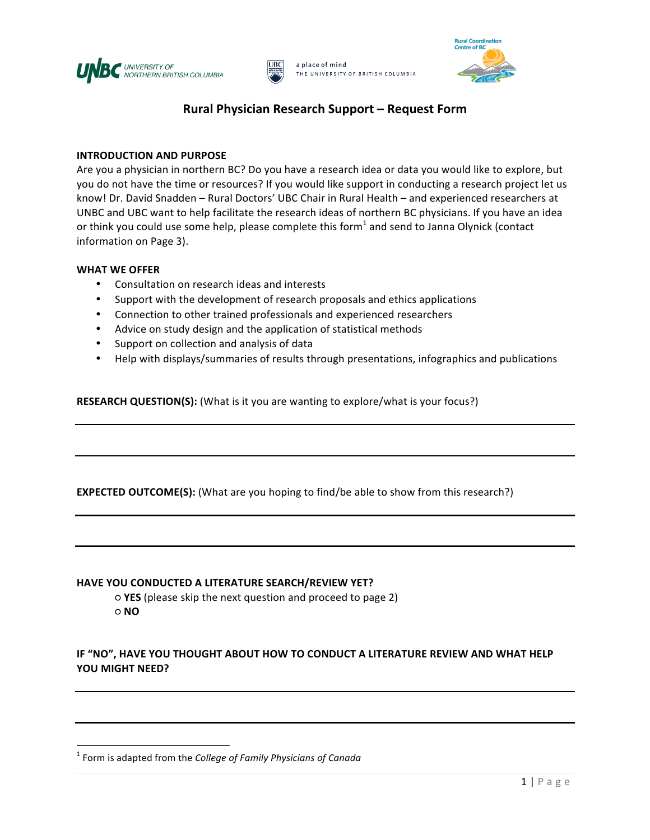



a place of mind THE UNIVERSITY OF BRITISH COLUMBIA



# **Rural Physician Research Support – Request Form**

### **INTRODUCTION AND PURPOSE**

Are you a physician in northern BC? Do you have a research idea or data you would like to explore, but you do not have the time or resources? If you would like support in conducting a research project let us know! Dr. David Snadden - Rural Doctors' UBC Chair in Rural Health - and experienced researchers at UNBC and UBC want to help facilitate the research ideas of northern BC physicians. If you have an idea or think you could use some help, please complete this form<sup>1</sup> and send to Janna Olynick (contact information on Page 3).

### **WHAT WE OFFER**

- Consultation on research ideas and interests
- Support with the development of research proposals and ethics applications
- Connection to other trained professionals and experienced researchers
- Advice on study design and the application of statistical methods
- Support on collection and analysis of data
- Help with displays/summaries of results through presentations, infographics and publications

**RESEARCH QUESTION(S):** (What is it you are wanting to explore/what is your focus?)

### **EXPECTED OUTCOME(S):** (What are you hoping to find/be able to show from this research?)

#### **HAVE YOU CONDUCTED A LITERATURE SEARCH/REVIEW YET?**

 $\circ$  YES (please skip the next question and proceed to page 2) **○ NO**

# IF "NO", HAVE YOU THOUGHT ABOUT HOW TO CONDUCT A LITERATURE REVIEW AND WHAT HELP YOU MIGHT NEED?

<u> Andrew Maria (1989)</u>

<sup>&</sup>lt;sup>1</sup> Form is adapted from the *College of Family Physicians of Canada*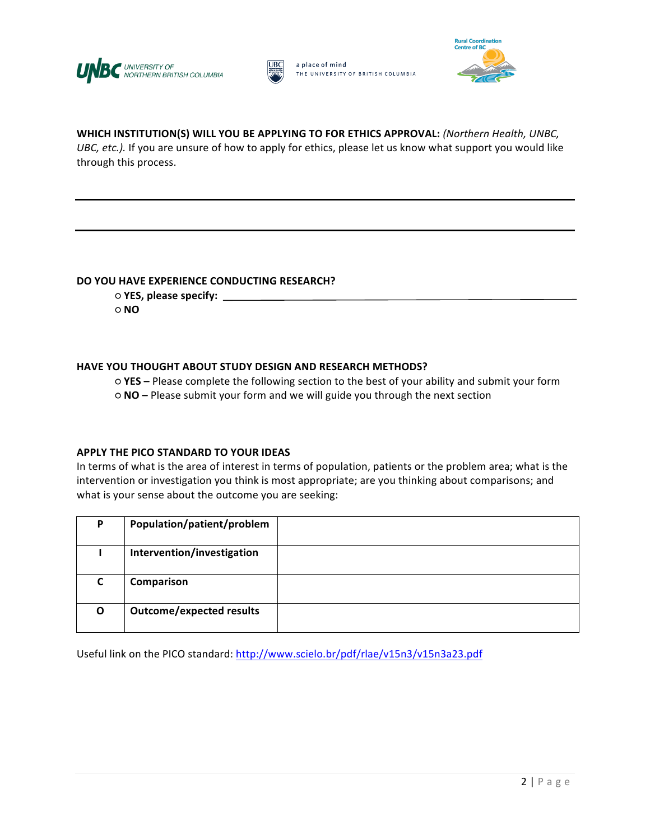





WHICH INSTITUTION(S) WILL YOU BE APPLYING TO FOR ETHICS APPROVAL: *(Northern Health, UNBC,* UBC, etc.). If you are unsure of how to apply for ethics, please let us know what support you would like through this process.

### **DO YOU HAVE EXPERIENCE CONDUCTING RESEARCH?**

**○ YES, please specify: ○ NO**

# **HAVE YOU THOUGHT ABOUT STUDY DESIGN AND RESEARCH METHODS?**

 $\circ$  **YES** – Please complete the following section to the best of your ability and submit your form  $\circ$  NO - Please submit your form and we will guide you through the next section

# **APPLY THE PICO STANDARD TO YOUR IDEAS**

In terms of what is the area of interest in terms of population, patients or the problem area; what is the intervention or investigation you think is most appropriate; are you thinking about comparisons; and what is your sense about the outcome you are seeking:

| Þ | Population/patient/problem      |  |
|---|---------------------------------|--|
|   | Intervention/investigation      |  |
| C | Comparison                      |  |
| O | <b>Outcome/expected results</b> |  |

Useful link on the PICO standard: http://www.scielo.br/pdf/rlae/v15n3/v15n3a23.pdf